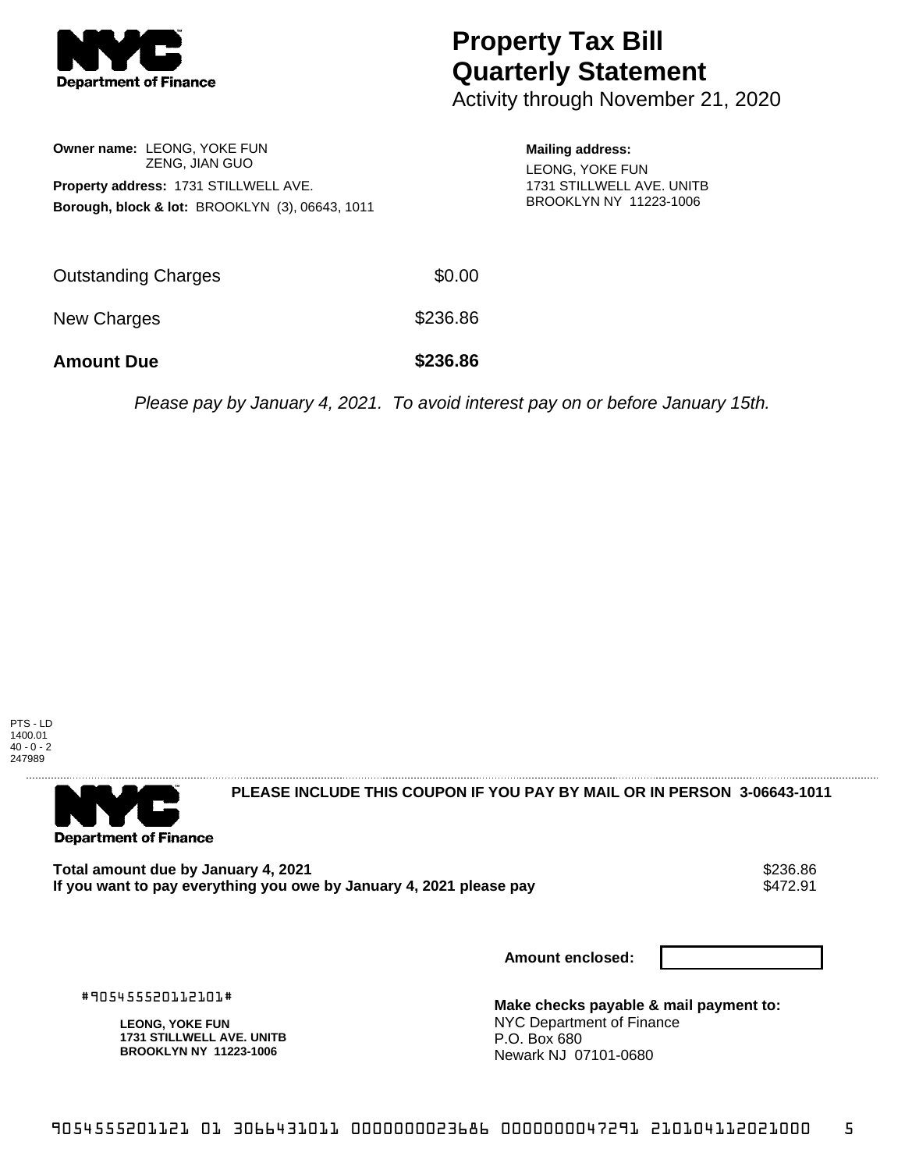

## **Property Tax Bill Quarterly Statement**

Activity through November 21, 2020

**Owner name:** LEONG, YOKE FUN ZENG, JIAN GUO **Property address:** 1731 STILLWELL AVE. **Borough, block & lot:** BROOKLYN (3), 06643, 1011 **Mailing address:** LEONG, YOKE FUN 1731 STILLWELL AVE. UNITB BROOKLYN NY 11223-1006

| <b>Amount Due</b>   | \$236.86 |
|---------------------|----------|
| New Charges         | \$236.86 |
| Outstanding Charges | \$0.00   |

Please pay by January 4, 2021. To avoid interest pay on or before January 15th.





**PLEASE INCLUDE THIS COUPON IF YOU PAY BY MAIL OR IN PERSON 3-06643-1011** 

**Total amount due by January 4, 2021**<br>If you want to pay everything you owe by January 4, 2021 please pay **show that the sensus of the S472.91** If you want to pay everything you owe by January 4, 2021 please pay

**Amount enclosed:**

#905455520112101#

**LEONG, YOKE FUN 1731 STILLWELL AVE. UNITB BROOKLYN NY 11223-1006**

**Make checks payable & mail payment to:** NYC Department of Finance P.O. Box 680 Newark NJ 07101-0680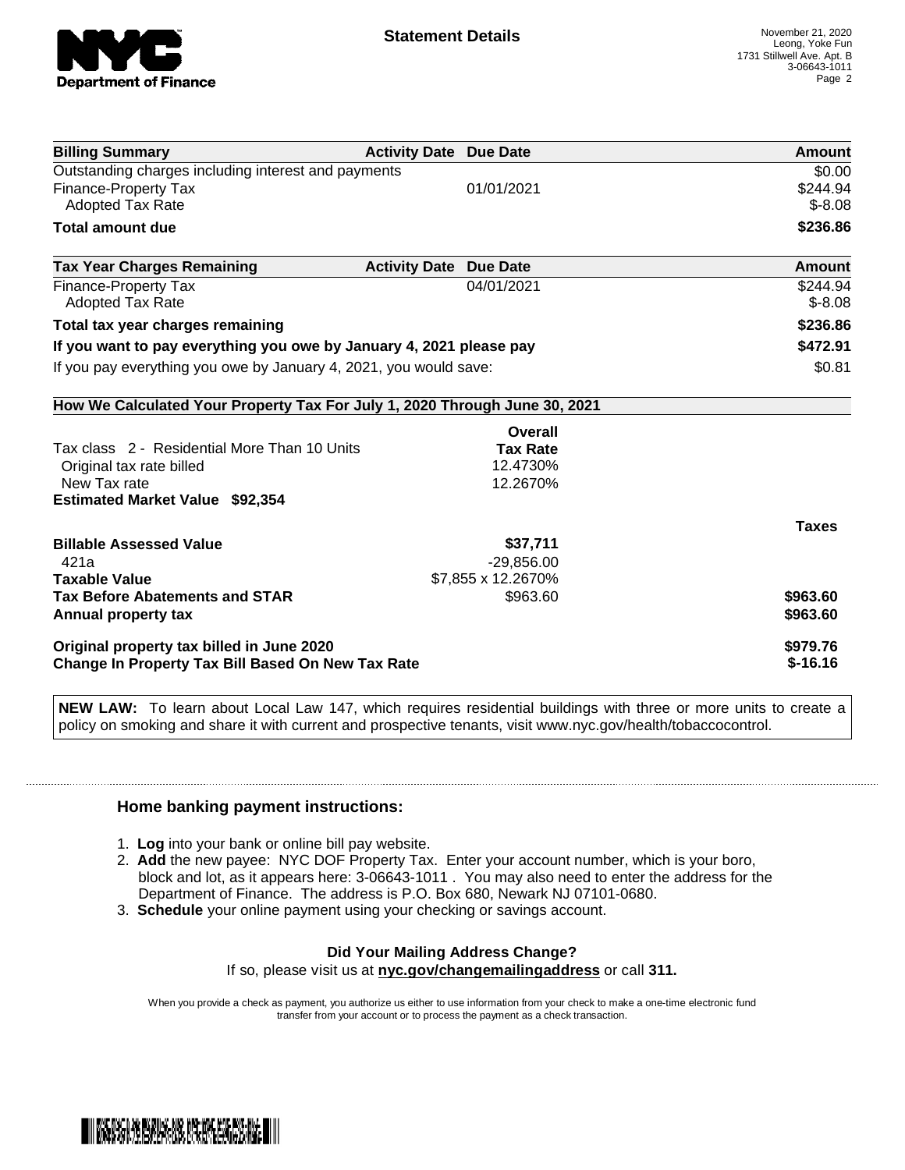

| <b>Billing Summary</b>                                                     | <b>Activity Date Due Date</b> |                    | Amount       |
|----------------------------------------------------------------------------|-------------------------------|--------------------|--------------|
| Outstanding charges including interest and payments                        |                               |                    | \$0.00       |
| <b>Finance-Property Tax</b>                                                |                               | 01/01/2021         | \$244.94     |
| <b>Adopted Tax Rate</b>                                                    |                               |                    | $$-8.08$     |
| <b>Total amount due</b>                                                    |                               |                    | \$236.86     |
| <b>Tax Year Charges Remaining</b>                                          | <b>Activity Date Due Date</b> |                    | Amount       |
| <b>Finance-Property Tax</b>                                                |                               | 04/01/2021         | \$244.94     |
| <b>Adopted Tax Rate</b>                                                    |                               |                    | $$-8.08$     |
| Total tax year charges remaining                                           |                               |                    | \$236.86     |
| If you want to pay everything you owe by January 4, 2021 please pay        |                               |                    | \$472.91     |
| If you pay everything you owe by January 4, 2021, you would save:          |                               |                    | \$0.81       |
| How We Calculated Your Property Tax For July 1, 2020 Through June 30, 2021 |                               |                    |              |
|                                                                            |                               | Overall            |              |
| Tax class 2 - Residential More Than 10 Units                               |                               | <b>Tax Rate</b>    |              |
| Original tax rate billed                                                   |                               | 12.4730%           |              |
| New Tax rate                                                               |                               | 12.2670%           |              |
| <b>Estimated Market Value \$92,354</b>                                     |                               |                    |              |
|                                                                            |                               |                    | <b>Taxes</b> |
| <b>Billable Assessed Value</b>                                             |                               | \$37,711           |              |
| 421a                                                                       |                               | $-29,856.00$       |              |
| <b>Taxable Value</b>                                                       |                               | \$7,855 x 12.2670% |              |
| <b>Tax Before Abatements and STAR</b>                                      |                               | \$963.60           | \$963.60     |
| Annual property tax                                                        |                               |                    | \$963.60     |
| Original property tax billed in June 2020                                  |                               |                    | \$979.76     |
| <b>Change In Property Tax Bill Based On New Tax Rate</b>                   |                               |                    | $$-16.16$    |

**NEW LAW:** To learn about Local Law 147, which requires residential buildings with three or more units to create a policy on smoking and share it with current and prospective tenants, visit www.nyc.gov/health/tobaccocontrol.

## **Home banking payment instructions:**

- 1. **Log** into your bank or online bill pay website.
- 2. **Add** the new payee: NYC DOF Property Tax. Enter your account number, which is your boro, block and lot, as it appears here: 3-06643-1011 . You may also need to enter the address for the Department of Finance. The address is P.O. Box 680, Newark NJ 07101-0680.
- 3. **Schedule** your online payment using your checking or savings account.

## **Did Your Mailing Address Change?**

If so, please visit us at **nyc.gov/changemailingaddress** or call **311.**

When you provide a check as payment, you authorize us either to use information from your check to make a one-time electronic fund transfer from your account or to process the payment as a check transaction.